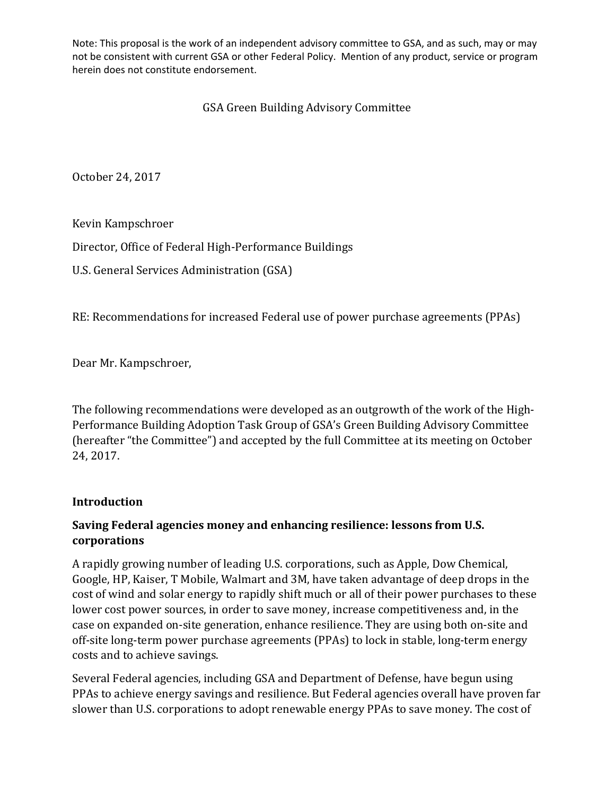Note: This proposal is the work of an independent advisory committee to GSA, and as such, may or may not be consistent with current GSA or other Federal Policy. Mention of any product, service or program herein does not constitute endorsement.

# GSA Green Building Advisory Committee

October 24, 2017

Kevin Kampschroer

Director, Office of Federal High-Performance Buildings

U.S. General Services Administration (GSA)

RE: Recommendations for increased Federal use of power purchase agreements (PPAs)

Dear Mr. Kampschroer,

The following recommendations were developed as an outgrowth of the work of the High-Performance Building Adoption Task Group of GSA's Green Building Advisory Committee (hereafter "the Committee") and accepted by the full Committee at its meeting on October 24, 2017.

#### **Introduction**

## **Saving Federal agencies money and enhancing resilience: lessons from U.S. corporations**

A rapidly growing number of leading U.S. corporations, such as Apple, Dow Chemical, Google, HP, Kaiser, T Mobile, Walmart and 3M, have taken advantage of deep drops in the cost of wind and solar energy to rapidly shift much or all of their power purchases to these lower cost power sources, in order to save money, increase competitiveness and, in the case on expanded on-site generation, enhance resilience. They are using both on-site and off-site long-term power purchase agreements (PPAs) to lock in stable, long-term energy costs and to achieve savings.

Several Federal agencies, including GSA and Department of Defense, have begun using PPAs to achieve energy savings and resilience. But Federal agencies overall have proven far slower than U.S. corporations to adopt renewable energy PPAs to save money. The cost of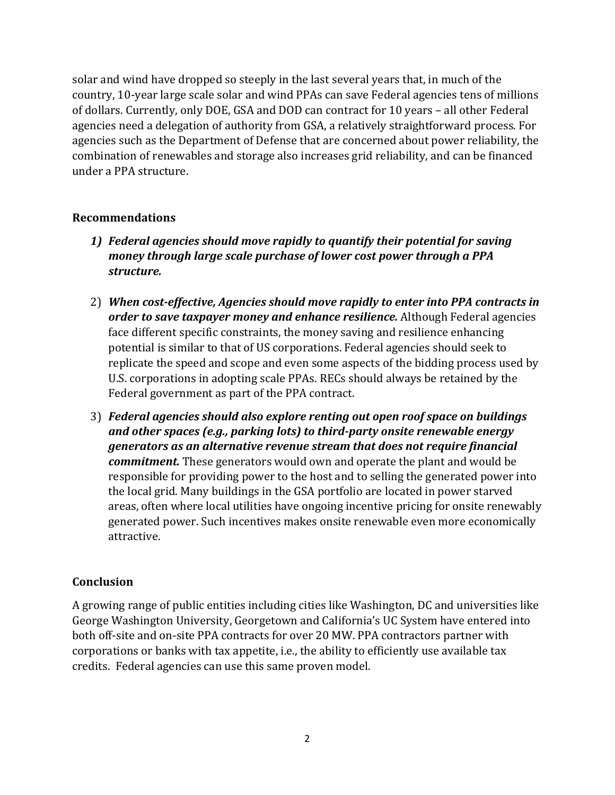solar and wind have dropped so steeply in the last several years that, in much of the country, 10-year large scale solar and wind PPAs can save Federal agencies tens of millions of dollars. Currently, only DOE, GSA and DOD can contract for 10 years – all other Federal agencies need a delegation of authority from GSA, a relatively straightforward process. For agencies such as the Department of Defense that are concerned about power reliability, the combination of renewables and storage also increases grid reliability, and can be financed under a PPA structure.

#### **Recommendations**

- *1) Federal agencies should move rapidly to quantify their potential for saving money through large scale purchase of lower cost power through a PPA structure.*
- 2) *When cost-effective, Agencies should move rapidly to enter into PPA contracts in order to save taxpayer money and enhance resilience.* Although Federal agencies face different specific constraints, the money saving and resilience enhancing potential is similar to that of US corporations. Federal agencies should seek to replicate the speed and scope and even some aspects of the bidding process used by U.S. corporations in adopting scale PPAs. RECs should always be retained by the Federal government as part of the PPA contract.
- 3) *Federal agencies should also explore renting out open roof space on buildings and other spaces (e.g., parking lots) to third-party onsite renewable energy generators as an alternative revenue stream that does not require financial commitment.* These generators would own and operate the plant and would be responsible for providing power to the host and to selling the generated power into the local grid. Many buildings in the GSA portfolio are located in power starved areas, often where local utilities have ongoing incentive pricing for onsite renewably generated power. Such incentives makes onsite renewable even more economically attractive.

## **Conclusion**

A growing range of public entities including cities like Washington, DC and universities like George Washington University, Georgetown and California's UC System have entered into both off-site and on-site PPA contracts for over 20 MW. PPA contractors partner with corporations or banks with tax appetite, i.e., the ability to efficiently use available tax credits. Federal agencies can use this same proven model.